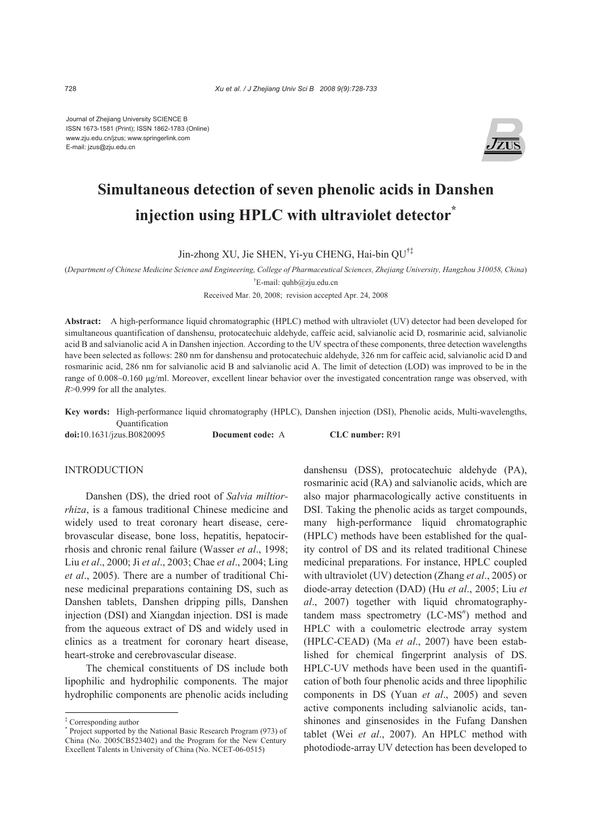Journal of Zhejiang University SCIENCE B ISSN 1673-1581 (Print); ISSN 1862-1783 (Online) www.zju.edu.cn/jzus; www.springerlink.com E-mail: jzus@zju.edu.cn



# **Simultaneous detection of seven phenolic acids in Danshen injection using HPLC with ultraviolet detector\***

Jin-zhong XU, Jie SHEN, Yi-yu CHENG, Hai-bin QU†‡

(*Department of Chinese Medicine Science and Engineering, College of Pharmaceutical Sciences, Zhejiang University, Hangzhou 310058, China*) † E-mail: quhb@zju.edu.cn

Received Mar. 20, 2008; revision accepted Apr. 24, 2008

**Abstract:** A high-performance liquid chromatographic (HPLC) method with ultraviolet (UV) detector had been developed for simultaneous quantification of danshensu, protocatechuic aldehyde, caffeic acid, salvianolic acid D, rosmarinic acid, salvianolic acid B and salvianolic acid A in Danshen injection. According to the UV spectra of these components, three detection wavelengths have been selected as follows: 280 nm for danshensu and protocatechuic aldehyde, 326 nm for caffeic acid, salvianolic acid D and rosmarinic acid, 286 nm for salvianolic acid B and salvianolic acid A. The limit of detection (LOD) was improved to be in the range of 0.008~0.160 μg/ml. Moreover, excellent linear behavior over the investigated concentration range was observed, with *R*>0.999 for all the analytes.

**Key words:** High-performance liquid chromatography (HPLC), Danshen injection (DSI), Phenolic acids, Multi-wavelengths, Quantification

**doi:**10.1631/jzus.B0820095 **Document code:** A **CLC number:** R91

#### **INTRODUCTION**

Danshen (DS), the dried root of *Salvia miltiorrhiza*, is a famous traditional Chinese medicine and widely used to treat coronary heart disease, cerebrovascular disease, bone loss, hepatitis, hepatocirrhosis and chronic renal failure (Wasser *et al*., 1998; Liu *et al*., 2000; Ji *et al*., 2003; Chae *et al*., 2004; Ling *et al*., 2005). There are a number of traditional Chinese medicinal preparations containing DS, such as Danshen tablets, Danshen dripping pills, Danshen injection (DSI) and Xiangdan injection. DSI is made from the aqueous extract of DS and widely used in clinics as a treatment for coronary heart disease, heart-stroke and cerebrovascular disease.

The chemical constituents of DS include both lipophilic and hydrophilic components. The major hydrophilic components are phenolic acids including danshensu (DSS), protocatechuic aldehyde (PA), rosmarinic acid (RA) and salvianolic acids, which are also major pharmacologically active constituents in DSI. Taking the phenolic acids as target compounds, many high-performance liquid chromatographic (HPLC) methods have been established for the quality control of DS and its related traditional Chinese medicinal preparations. For instance, HPLC coupled with ultraviolet (UV) detection (Zhang *et al*., 2005) or diode-array detection (DAD) (Hu *et al*., 2005; Liu *et al*., 2007) together with liquid chromatographytandem mass spectrometry (LC-MS<sup>n</sup>) method and HPLC with a coulometric electrode array system (HPLC-CEAD) (Ma *et al*., 2007) have been established for chemical fingerprint analysis of DS. HPLC-UV methods have been used in the quantification of both four phenolic acids and three lipophilic components in DS (Yuan *et al*., 2005) and seven active components including salvianolic acids, tanshinones and ginsenosides in the Fufang Danshen tablet (Wei *et al*., 2007). An HPLC method with photodiode-array UV detection has been developed to

<sup>‡</sup> Corresponding author

<sup>\*</sup> Project supported by the National Basic Research Program (973) of China (No. 2005CB523402) and the Program for the New Century Excellent Talents in University of China (No. NCET-06-0515)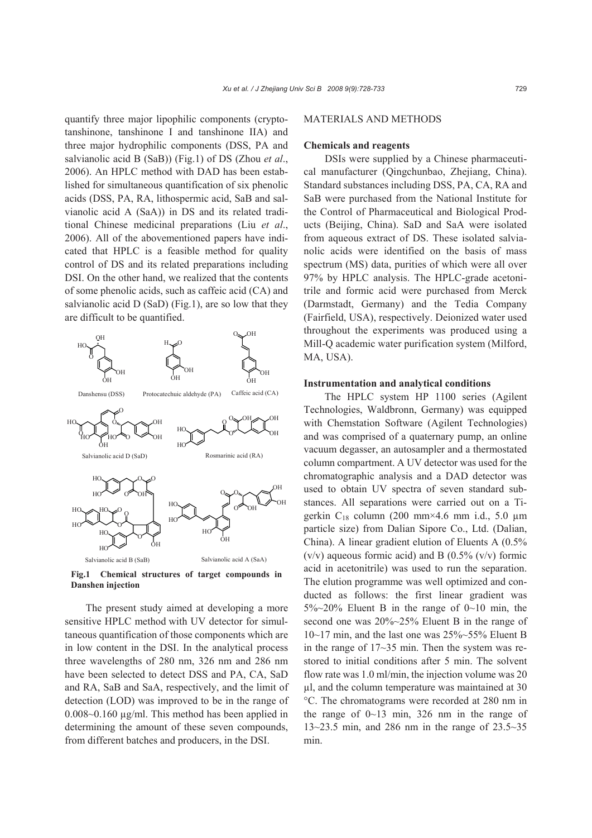quantify three major lipophilic components (cryptotanshinone, tanshinone I and tanshinone IIA) and three major hydrophilic components (DSS, PA and salvianolic acid B (SaB)) (Fig.1) of DS (Zhou *et al*., 2006). An HPLC method with DAD has been established for simultaneous quantification of six phenolic acids (DSS, PA, RA, lithospermic acid, SaB and salvianolic acid A (SaA)) in DS and its related traditional Chinese medicinal preparations (Liu *et al*., 2006). All of the abovementioned papers have indicated that HPLC is a feasible method for quality control of DS and its related preparations including DSI. On the other hand, we realized that the contents of some phenolic acids, such as caffeic acid (CA) and salvianolic acid  $D(SaD)$  (Fig.1), are so low that they are difficult to be quantified.



**Fig.1 Chemical structures of target compounds in Danshen injection**

The present study aimed at developing a more sensitive HPLC method with UV detector for simultaneous quantification of those components which are in low content in the DSI. In the analytical process three wavelengths of 280 nm, 326 nm and 286 nm have been selected to detect DSS and PA, CA, SaD and RA, SaB and SaA, respectively, and the limit of detection (LOD) was improved to be in the range of 0.008~0.160 µg/ml. This method has been applied in determining the amount of these seven compounds, from different batches and producers, in the DSI.

## MATERIALS AND METHODS

### **Chemicals and reagents**

DSIs were supplied by a Chinese pharmaceutical manufacturer (Qingchunbao, Zhejiang, China). Standard substances including DSS, PA, CA, RA and SaB were purchased from the National Institute for the Control of Pharmaceutical and Biological Products (Beijing, China). SaD and SaA were isolated from aqueous extract of DS. These isolated salvianolic acids were identified on the basis of mass spectrum (MS) data, purities of which were all over 97% by HPLC analysis. The HPLC-grade acetonitrile and formic acid were purchased from Merck (Darmstadt, Germany) and the Tedia Company (Fairfield, USA), respectively. Deionized water used throughout the experiments was produced using a Mill-Q academic water purification system (Milford, MA, USA).

#### **Instrumentation and analytical conditions**

The HPLC system HP 1100 series (Agilent Technologies, Waldbronn, Germany) was equipped with Chemstation Software (Agilent Technologies) and was comprised of a quaternary pump, an online vacuum degasser, an autosampler and a thermostated column compartment. A UV detector was used for the chromatographic analysis and a DAD detector was used to obtain UV spectra of seven standard substances. All separations were carried out on a Tigerkin  $C_{18}$  column (200 mm×4.6 mm i.d., 5.0 µm particle size) from Dalian Sipore Co., Ltd. (Dalian, China). A linear gradient elution of Eluents A (0.5%  $(v/v)$  aqueous formic acid) and B  $(0.5\%$   $(v/v)$  formic acid in acetonitrile) was used to run the separation. The elution programme was well optimized and conducted as follows: the first linear gradient was  $5\%$   $\sim$  20% Eluent B in the range of 0 $\sim$  10 min, the second one was 20%~25% Eluent B in the range of 10~17 min, and the last one was 25%~55% Eluent B in the range of 17~35 min. Then the system was restored to initial conditions after 5 min. The solvent flow rate was 1.0 ml/min, the injection volume was 20 µl, and the column temperature was maintained at 30 °C. The chromatograms were recorded at 280 nm in the range of  $0 \sim 13$  min, 326 nm in the range of 13~23.5 min, and 286 nm in the range of 23.5~35 min.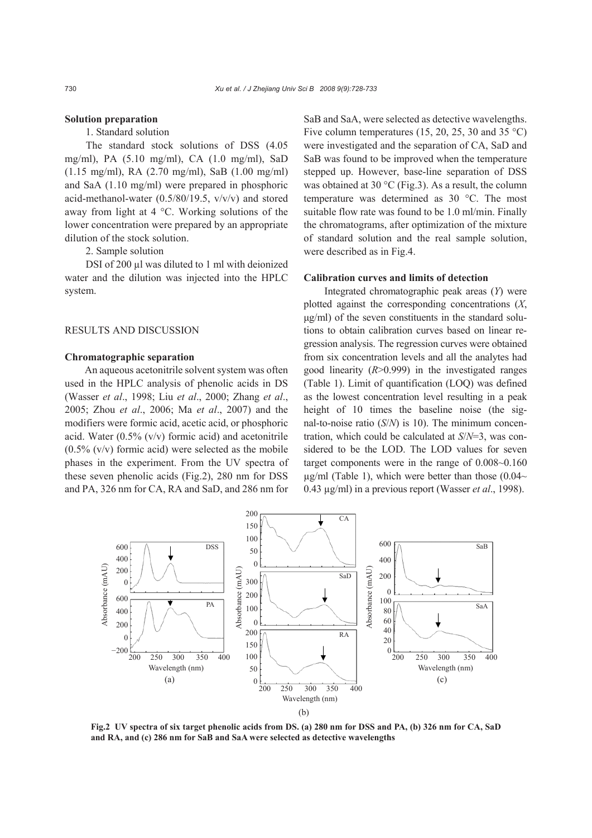## **Solution preparation**

# 1. Standard solution

The standard stock solutions of DSS (4.05 mg/ml), PA (5.10 mg/ml), CA (1.0 mg/ml), SaD (1.15 mg/ml), RA (2.70 mg/ml), SaB (1.00 mg/ml) and SaA (1.10 mg/ml) were prepared in phosphoric acid-methanol-water  $(0.5/80/19.5, v/v/v)$  and stored away from light at 4 °C. Working solutions of the lower concentration were prepared by an appropriate dilution of the stock solution.

2. Sample solution

DSI of 200 µl was diluted to 1 ml with deionized water and the dilution was injected into the HPLC system.

## RESULTS AND DISCUSSION

#### **Chromatographic separation**

An aqueous acetonitrile solvent system was often used in the HPLC analysis of phenolic acids in DS (Wasser *et al*., 1998; Liu *et al*., 2000; Zhang *et al*., 2005; Zhou *et al*., 2006; Ma *et al*., 2007) and the modifiers were formic acid, acetic acid, or phosphoric acid. Water (0.5% (v/v) formic acid) and acetonitrile  $(0.5\%$  (v/v) formic acid) were selected as the mobile phases in the experiment. From the UV spectra of these seven phenolic acids (Fig.2), 280 nm for DSS and PA, 326 nm for CA, RA and SaD, and 286 nm for

SaB and SaA, were selected as detective wavelengths. Five column temperatures (15, 20, 25, 30 and 35 °C) were investigated and the separation of CA, SaD and SaB was found to be improved when the temperature stepped up. However, base-line separation of DSS was obtained at 30 °C (Fig.3). As a result, the column temperature was determined as 30 °C. The most suitable flow rate was found to be 1.0 ml/min. Finally the chromatograms, after optimization of the mixture of standard solution and the real sample solution, were described as in Fig.4.

## **Calibration curves and limits of detection**

Integrated chromatographic peak areas (*Y*) were plotted against the corresponding concentrations (*X*, μg/ml) of the seven constituents in the standard solutions to obtain calibration curves based on linear regression analysis. The regression curves were obtained from six concentration levels and all the analytes had good linearity (*R*>0.999) in the investigated ranges (Table 1). Limit of quantification (LOQ) was defined as the lowest concentration level resulting in a peak height of 10 times the baseline noise (the signal-to-noise ratio (*S*/*N*) is 10). The minimum concentration, which could be calculated at *S*/*N*=3, was considered to be the LOD. The LOD values for seven target components were in the range of 0.008~0.160  $\mu$ g/ml (Table 1), which were better than those (0.04 $\sim$ 0.43 µg/ml) in a previous report (Wasser *et al*., 1998).



**Fig.2 UV spectra of six target phenolic acids from DS. (a) 280 nm for DSS and PA, (b) 326 nm for CA, SaD and RA, and (c) 286 nm for SaB and SaA were selected as detective wavelengths**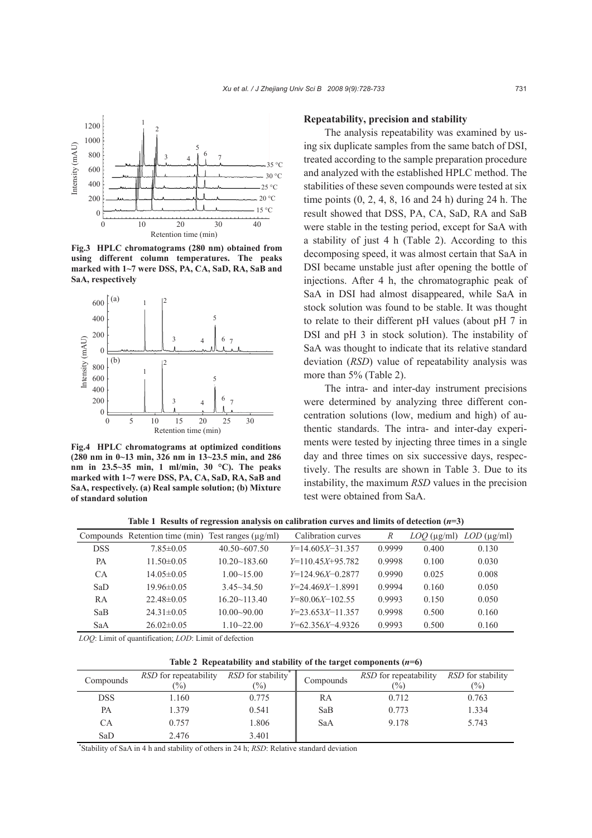

**Fig.3 HPLC chromatograms (280 nm) obtained from using different column temperatures. The peaks marked with 1~7 were DSS, PA, CA, SaD, RA, SaB and SaA, respectively**



**Fig.4 HPLC chromatograms at optimized conditions (280 nm in 0~13 min, 326 nm in 13~23.5 min, and 286 nm in 23.5~35 min, 1 ml/min, 30 °C). The peaks marked with 1~7 were DSS, PA, CA, SaD, RA, SaB and SaA, respectively. (a) Real sample solution; (b) Mixture of standard solution**

#### **Repeatability, precision and stability**

The analysis repeatability was examined by using six duplicate samples from the same batch of DSI, treated according to the sample preparation procedure and analyzed with the established HPLC method. The stabilities of these seven compounds were tested at six time points (0, 2, 4, 8, 16 and 24 h) during 24 h. The result showed that DSS, PA, CA, SaD, RA and SaB were stable in the testing period, except for SaA with a stability of just 4 h (Table 2). According to this decomposing speed, it was almost certain that SaA in DSI became unstable just after opening the bottle of injections. After 4 h, the chromatographic peak of SaA in DSI had almost disappeared, while SaA in stock solution was found to be stable. It was thought to relate to their different pH values (about pH 7 in DSI and pH 3 in stock solution). The instability of SaA was thought to indicate that its relative standard deviation (*RSD*) value of repeatability analysis was more than 5% (Table 2).

The intra- and inter-day instrument precisions were determined by analyzing three different concentration solutions (low, medium and high) of authentic standards. The intra- and inter-day experiments were tested by injecting three times in a single day and three times on six successive days, respectively. The results are shown in Table 3. Due to its instability, the maximum *RSD* values in the precision test were obtained from SaA.

|            | Compounds Retention time (min) | Test ranges $(\mu g/ml)$ | Calibration curves | R      | $LOQ$ (µg/ml) | $LOD$ (µg/ml) |
|------------|--------------------------------|--------------------------|--------------------|--------|---------------|---------------|
| <b>DSS</b> | $7.85 \pm 0.05$                | $40.50 - 607.50$         | $Y=14.605X-31.357$ | 0.9999 | 0.400         | 0.130         |
| PА         | $11.50\pm0.05$                 | $10.20 - 183.60$         | $Y=110.45X+95.782$ | 0.9998 | 0.100         | 0.030         |
| CA         | $14.05\pm0.05$                 | $1.00 \sim 15.00$        | $Y=124.96X-0.2877$ | 0.9990 | 0.025         | 0.008         |
| SaD        | $19.96\pm0.05$                 | $3.45 - 34.50$           | $Y=24.469X-1.8991$ | 0.9994 | 0.160         | 0.050         |
| RA         | $22.48\pm0.05$                 | $16.20 \times 113.40$    | $Y=80.06X-102.55$  | 0.9993 | 0.150         | 0.050         |
| SaB        | $24.31 \pm 0.05$               | $10.00 - 90.00$          | $Y=23.653X-11.357$ | 0.9998 | 0.500         | 0.160         |
| SaA        | $26.02\pm0.05$                 | $1.10 - 22.00$           | $Y=62.356X-4.9326$ | 0.9993 | 0.500         | 0.160         |

**Table 1 Results of regression analysis on calibration curves and limits of detection (***n***=3)**

*LOQ*: Limit of quantification; *LOD*: Limit of defection

**Table 2 Repeatability and stability of the target components (***n***=6)**

|            | <i>RSD</i> for repeatability | <i>RSD</i> for stability <sup>*</sup> |           | <i>RSD</i> for repeatability | <i>RSD</i> for stability |
|------------|------------------------------|---------------------------------------|-----------|------------------------------|--------------------------|
| Compounds  | $\frac{1}{2}$                | $\frac{10}{6}$                        | Compounds | $\frac{10}{6}$               | $\frac{(0)}{0}$          |
|            |                              |                                       |           |                              |                          |
| <b>DSS</b> | .160                         | 0.775                                 | RA        | 0.712                        | 0.763                    |
|            |                              |                                       |           |                              |                          |
| PA         | 1.379                        | 0.541                                 | SaB       | 0.773                        | 1.334                    |
|            |                              |                                       |           |                              |                          |
| CA         | 0.757                        | 1.806                                 | SaA       | 9.178                        | 5.743                    |
|            |                              |                                       |           |                              |                          |
| SaD        | 2.476                        | 3.401                                 |           |                              |                          |

\* Stability of SaA in 4 h and stability of others in 24 h; *RSD*: Relative standard deviation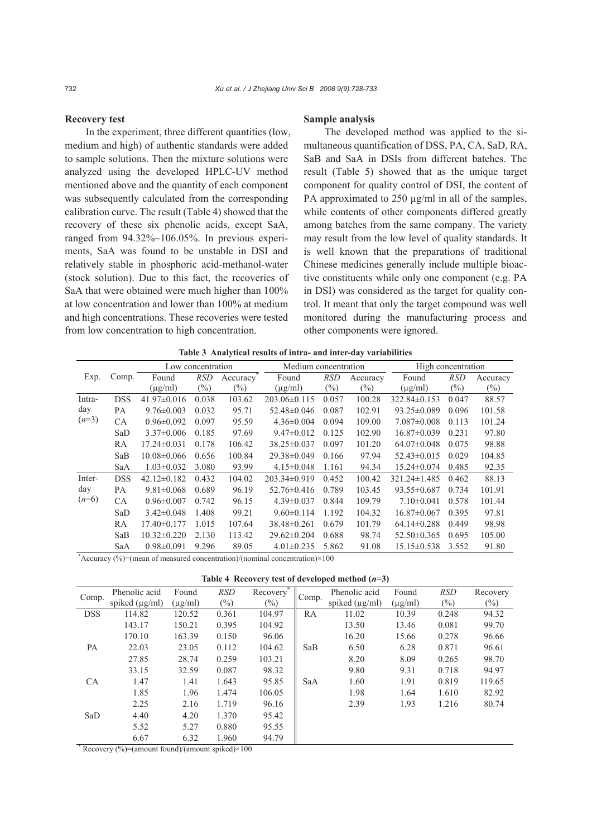## **Recovery test**

In the experiment, three different quantities (low, medium and high) of authentic standards were added to sample solutions. Then the mixture solutions were analyzed using the developed HPLC-UV method mentioned above and the quantity of each component was subsequently calculated from the corresponding calibration curve. The result (Table 4) showed that the recovery of these six phenolic acids, except SaA, ranged from 94.32%~106.05%. In previous experiments, SaA was found to be unstable in DSI and relatively stable in phosphoric acid-methanol-water (stock solution). Due to this fact, the recoveries of SaA that were obtained were much higher than 100% at low concentration and lower than 100% at medium and high concentrations. These recoveries were tested from low concentration to high concentration.

#### **Sample analysis**

The developed method was applied to the simultaneous quantification of DSS, PA, CA, SaD, RA, SaB and SaA in DSIs from different batches. The result (Table 5) showed that as the unique target component for quality control of DSI, the content of PA approximated to  $250 \mu g/ml$  in all of the samples, while contents of other components differed greatly among batches from the same company. The variety may result from the low level of quality standards. It is well known that the preparations of traditional Chinese medicines generally include multiple bioactive constituents while only one component (e.g. PA in DSI) was considered as the target for quality control. It meant that only the target compound was well monitored during the manufacturing process and other components were ignored.

|  |  | Table 3 Analytical results of intra- and inter-day variabilities |  |  |  |
|--|--|------------------------------------------------------------------|--|--|--|
|--|--|------------------------------------------------------------------|--|--|--|

|         |            | Low concentration |            |          | Medium concentration |            |          | High concentration |            |          |
|---------|------------|-------------------|------------|----------|----------------------|------------|----------|--------------------|------------|----------|
| Exp.    | Comp.      | Found             | <b>RSD</b> | Accuracy | Found                | <b>RSD</b> | Accuracy | Found              | <b>RSD</b> | Accuracy |
|         |            | $(\mu g/ml)$      | $(\%)$     | $(\%)$   | $(\mu g/ml)$         | $(\%)$     | $(\%)$   | $(\mu g/ml)$       | $(\%)$     | $(\%)$   |
| Intra-  | <b>DSS</b> | $41.97 \pm 0.016$ | 0.038      | 103.62   | $203.06\pm0.115$     | 0.057      | 100.28   | $322.84 \pm 0.153$ | 0.047      | 88.57    |
| day     | PA         | $9.76 \pm 0.003$  | 0.032      | 95.71    | 52.48±0.046          | 0.087      | 102.91   | $93.25 \pm 0.089$  | 0.096      | 101.58   |
| $(n=3)$ | CA         | $0.96 \pm 0.092$  | 0.097      | 95.59    | $4.36 \pm 0.004$     | 0.094      | 109.00   | $7.087 \pm 0.008$  | 0.113      | 101.24   |
|         | SaD        | $3.37 \pm 0.006$  | 0.185      | 97.69    | $9.47 \pm 0.012$     | 0.125      | 102.90   | $16.87\pm0.039$    | 0.231      | 97.80    |
|         | RA         | $17.24 \pm 0.031$ | 0.178      | 106.42   | $38.25 \pm 0.037$    | 0.097      | 101.20   | $64.07\pm0.048$    | 0.075      | 98.88    |
|         | SaB        | $10.08 \pm 0.066$ | 0.656      | 100.84   | 29.38±0.049          | 0.166      | 97.94    | $52.43 \pm 0.015$  | 0.029      | 104.85   |
|         | SaA        | $1.03 \pm 0.032$  | 3.080      | 93.99    | $4.15 \pm 0.048$     | 1.161      | 94.34    | $15.24 \pm 0.074$  | 0.485      | 92.35    |
| Inter-  | <b>DSS</b> | $42.12 \pm 0.182$ | 0.432      | 104.02   | $203.34\pm0.919$     | 0.452      | 100.42   | $321.24 \pm 1.485$ | 0.462      | 88.13    |
| day     | PA         | $9.81 \pm 0.068$  | 0.689      | 96.19    | $52.76 \pm 0.416$    | 0.789      | 103.45   | $93.55\pm0.687$    | 0.734      | 101.91   |
| $(n=6)$ | CA         | $0.96 \pm 0.007$  | 0.742      | 96.15    | $4.39 \pm 0.037$     | 0.844      | 109.79   | $7.10 \pm 0.041$   | 0.578      | 101.44   |
|         | SaD        | $3.42 \pm 0.048$  | 1.408      | 99.21    | $9.60 \pm 0.114$     | 1.192      | 104.32   | $16.87\pm0.067$    | 0.395      | 97.81    |
|         | RA         | $17.40 \pm 0.177$ | 1.015      | 107.64   | 38.48±0.261          | 0.679      | 101.79   | $64.14\pm0.288$    | 0.449      | 98.98    |
|         | SaB        | $10.32 \pm 0.220$ | 2.130      | 113.42   | $29.62 \pm 0.204$    | 0.688      | 98.74    | $52.50\pm0.365$    | 0.695      | 105.00   |
|         | SaA        | $0.98 \pm 0.091$  | 9.296      | 89.05    | $4.01 \pm 0.235$     | 5.862      | 91.08    | $15.15 \pm 0.538$  | 3.552      | 91.80    |

\* Accuracy (%)=(mean of measured concentration)/(nominal concentration)×100

**Table 4 Recovery test of developed method (***n***=3)**

| Comp.                                                         | Phenolic acid       | Found        | <b>RSD</b> | Recovery | Comp. | Phenolic acid       | Found        | <b>RSD</b> | Recovery |
|---------------------------------------------------------------|---------------------|--------------|------------|----------|-------|---------------------|--------------|------------|----------|
|                                                               | spiked $(\mu g/ml)$ | $(\mu g/ml)$ | $(\%)$     | $(\%)$   |       | spiked $(\mu g/ml)$ | $(\mu g/ml)$ | $(\%)$     | $(\%)$   |
| <b>DSS</b>                                                    | 114.82              | 120.52       | 0.361      | 104.97   | RA    | 11.02               | 10.39        | 0.248      | 94.32    |
|                                                               | 143.17              | 150.21       | 0.395      | 104.92   |       | 13.50               | 13.46        | 0.081      | 99.70    |
|                                                               | 170.10              | 163.39       | 0.150      | 96.06    |       | 16.20               | 15.66        | 0.278      | 96.66    |
| PA                                                            | 22.03               | 23.05        | 0.112      | 104.62   | SaB   | 6.50                | 6.28         | 0.871      | 96.61    |
|                                                               | 27.85               | 28.74        | 0.259      | 103.21   |       | 8.20                | 8.09         | 0.265      | 98.70    |
|                                                               | 33.15               | 32.59        | 0.087      | 98.32    |       | 9.80                | 9.31         | 0.718      | 94.97    |
| <b>CA</b>                                                     | 1.47                | 1.41         | 1.643      | 95.85    | SaA   | 1.60                | 1.91         | 0.819      | 119.65   |
|                                                               | 1.85                | 1.96         | 1.474      | 106.05   |       | 1.98                | 1.64         | 1.610      | 82.92    |
|                                                               | 2.25                | 2.16         | 1.719      | 96.16    |       | 2.39                | 1.93         | 1.216      | 80.74    |
| SaD                                                           | 4.40                | 4.20         | 1.370      | 95.42    |       |                     |              |            |          |
|                                                               | 5.52                | 5.27         | 0.880      | 95.55    |       |                     |              |            |          |
|                                                               | 6.67                | 6.32         | 1.960      | 94.79    |       |                     |              |            |          |
| Recovery $\frac{9}{6}$ = (amount found)/(amount spiked) × 100 |                     |              |            |          |       |                     |              |            |          |